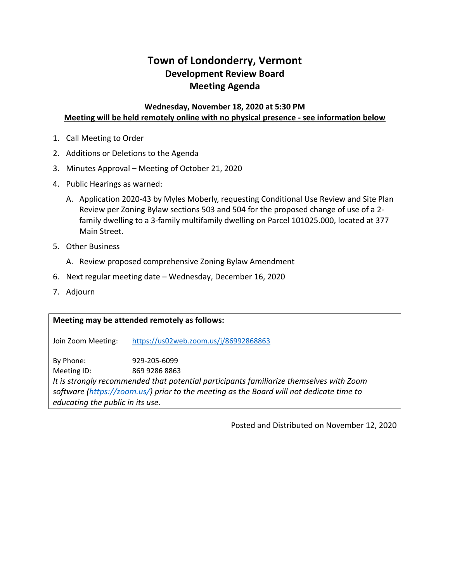# **Town of Londonderry, Vermont Development Review Board Meeting Agenda**

### **Wednesday, November 18, 2020 at 5:30 PM Meeting will be held remotely online with no physical presence - see information below**

- 1. Call Meeting to Order
- 2. Additions or Deletions to the Agenda
- 3. Minutes Approval Meeting of October 21, 2020
- 4. Public Hearings as warned:
	- A. Application 2020-43 by Myles Moberly, requesting Conditional Use Review and Site Plan Review per Zoning Bylaw sections 503 and 504 for the proposed change of use of a 2 family dwelling to a 3-family multifamily dwelling on Parcel 101025.000, located at 377 Main Street.
- 5. Other Business
	- A. Review proposed comprehensive Zoning Bylaw Amendment
- 6. Next regular meeting date Wednesday, December 16, 2020
- 7. Adjourn

**Meeting may be attended remotely as follows:** Join Zoom Meeting: <https://us02web.zoom.us/j/86992868863> By Phone: 929-205-6099 Meeting ID: 869 9286 8863 *It is strongly recommended that potential participants familiarize themselves with Zoom software [\(https://zoom.us/\)](https://zoom.us/) prior to the meeting as the Board will not dedicate time to educating the public in its use.* 

Posted and Distributed on November 12, 2020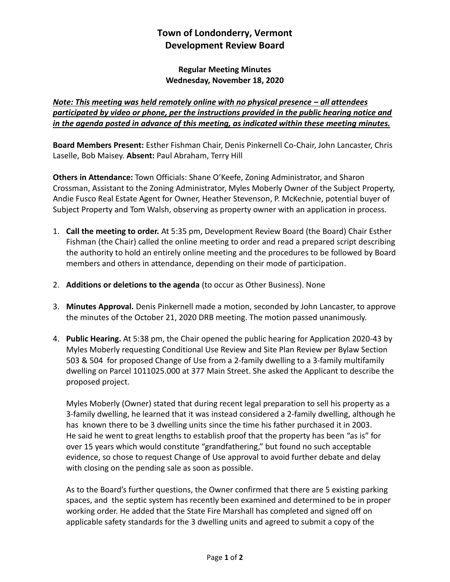## **Town of Londonderry, Vermont Development Review Board**

### **Regular Meeting Minutes Wednesday, November 18, 2020**

## *Note: This meeting was held remotely online with no physical presence – all attendees participated by video or phone, per the instructions provided in the public hearing notice and in the agenda posted in advance of this meeting, as indicated within these meeting minutes.*

**Board Members Present:** Esther Fishman Chair, Denis Pinkernell Co-Chair, John Lancaster, Chris Laselle, Bob Maisey. **Absent:** Paul Abraham, Terry Hill

**Others in Attendance:** Town Officials: Shane O'Keefe, Zoning Administrator, and Sharon Crossman, Assistant to the Zoning Administrator, Myles Moberly Owner of the Subject Property, Andie Fusco Real Estate Agent for Owner, Heather Stevenson, P. McKechnie, potential buyer of Subject Property and Tom Walsh, observing as property owner with an application in process.

- 1. **Call the meeting to order.** At 5:35 pm, Development Review Board (the Board) Chair Esther Fishman (the Chair) called the online meeting to order and read a prepared script describing the authority to hold an entirely online meeting and the procedures to be followed by Board members and others in attendance, depending on their mode of participation.
- 2. **Additions or deletions to the agenda** (to occur as Other Business). None
- 3. **Minutes Approval.** Denis Pinkernell made a motion, seconded by John Lancaster, to approve the minutes of the October 21, 2020 DRB meeting. The motion passed unanimously.
- 4. **Public Hearing.** At 5:38 pm, the Chair opened the public hearing for Application 2020-43 by Myles Moberly requesting Conditional Use Review and Site Plan Review per Bylaw Section 503 & 504 for proposed Change of Use from a 2-family dwelling to a 3-family multifamily dwelling on Parcel 1011025.000 at 377 Main Street. She asked the Applicant to describe the proposed project.

Myles Moberly (Owner) stated that during recent legal preparation to sell his property as a 3-family dwelling, he learned that it was instead considered a 2-family dwelling, although he has known there to be 3 dwelling units since the time his father purchased it in 2003. He said he went to great lengths to establish proof that the property has been "as is" for over 15 years which would constitute "grandfathering," but found no such acceptable evidence, so chose to request Change of Use approval to avoid further debate and delay with closing on the pending sale as soon as possible.

As to the Board's further questions, the Owner confirmed that there are 5 existing parking spaces, and the septic system has recently been examined and determined to be in proper working order. He added that the State Fire Marshall has completed and signed off on applicable safety standards for the 3 dwelling units and agreed to submit a copy of the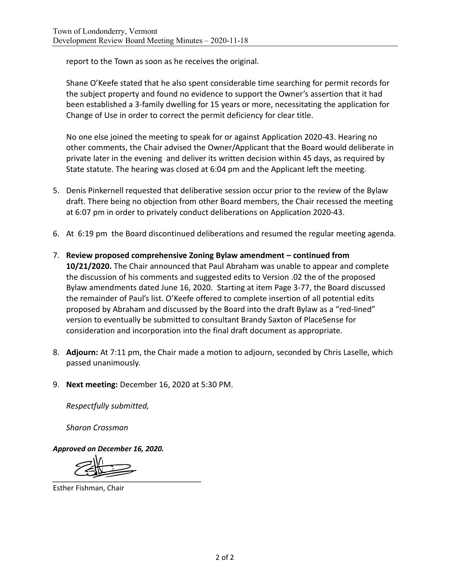report to the Town as soon as he receives the original.

Shane O'Keefe stated that he also spent considerable time searching for permit records for the subject property and found no evidence to support the Owner's assertion that it had been established a 3-family dwelling for 15 years or more, necessitating the application for Change of Use in order to correct the permit deficiency for clear title.

No one else joined the meeting to speak for or against Application 2020-43. Hearing no other comments, the Chair advised the Owner/Applicant that the Board would deliberate in private later in the evening and deliver its written decision within 45 days, as required by State statute. The hearing was closed at 6:04 pm and the Applicant left the meeting.

- 5. Denis Pinkernell requested that deliberative session occur prior to the review of the Bylaw draft. There being no objection from other Board members, the Chair recessed the meeting at 6:07 pm in order to privately conduct deliberations on Application 2020-43.
- 6. At 6:19 pm the Board discontinued deliberations and resumed the regular meeting agenda.
- 7. **Review proposed comprehensive Zoning Bylaw amendment – continued from 10/21/2020.** The Chair announced that Paul Abraham was unable to appear and complete the discussion of his comments and suggested edits to Version .02 the of the proposed Bylaw amendments dated June 16, 2020. Starting at item Page 3-77, the Board discussed the remainder of Paul's list. O'Keefe offered to complete insertion of all potential edits proposed by Abraham and discussed by the Board into the draft Bylaw as a "red-lined" version to eventually be submitted to consultant Brandy Saxton of PlaceSense for consideration and incorporation into the final draft document as appropriate.
- 8. **Adjourn:** At 7:11 pm, the Chair made a motion to adjourn, seconded by Chris Laselle, which passed unanimously.
- 9. **Next meeting:** December 16, 2020 at 5:30 PM.

*Respectfully submitted,*

*Sharon Crossman*

*Approved on December 16, 2020.* 

*\_\_\_\_\_\_\_\_\_\_\_\_\_\_\_\_\_\_\_\_\_\_\_\_\_\_\_\_\_\_\_\_\_\_\_\_\_* 

Esther Fishman, Chair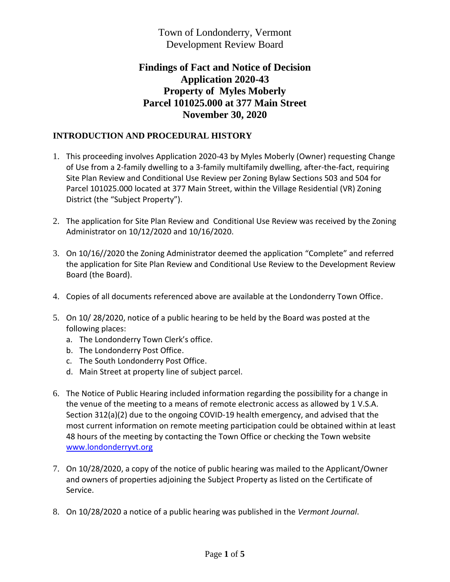Town of Londonderry, Vermont Development Review Board

## **Findings of Fact and Notice of Decision Application 2020-43 Property of Myles Moberly Parcel 101025.000 at 377 Main Street November 30, 2020**

## **INTRODUCTION AND PROCEDURAL HISTORY**

- 1. This proceeding involves Application 2020-43 by Myles Moberly (Owner) requesting Change of Use from a 2-family dwelling to a 3-family multifamily dwelling, after-the-fact, requiring Site Plan Review and Conditional Use Review per Zoning Bylaw Sections 503 and 504 for Parcel 101025.000 located at 377 Main Street, within the Village Residential (VR) Zoning District (the "Subject Property").
- 2. The application for Site Plan Review and Conditional Use Review was received by the Zoning Administrator on 10/12/2020 and 10/16/2020.
- 3. On 10/16//2020 the Zoning Administrator deemed the application "Complete" and referred the application for Site Plan Review and Conditional Use Review to the Development Review Board (the Board).
- 4. Copies of all documents referenced above are available at the Londonderry Town Office.
- 5. On 10/ 28/2020, notice of a public hearing to be held by the Board was posted at the following places:
	- a. The Londonderry Town Clerk's office.
	- b. The Londonderry Post Office.
	- c. The South Londonderry Post Office.
	- d. Main Street at property line of subject parcel.
- 6. The Notice of Public Hearing included information regarding the possibility for a change in the venue of the meeting to a means of remote electronic access as allowed by 1 V.S.A. Section 312(a)(2) due to the ongoing COVID-19 health emergency, and advised that the most current information on remote meeting participation could be obtained within at least 48 hours of the meeting by contacting the Town Office or checking the Town website [www.londonderryvt.org](http://www.londonderryvt.org/)
- 7. On 10/28/2020, a copy of the notice of public hearing was mailed to the Applicant/Owner and owners of properties adjoining the Subject Property as listed on the Certificate of Service.
- 8. On 10/28/2020 a notice of a public hearing was published in the *Vermont Journal*.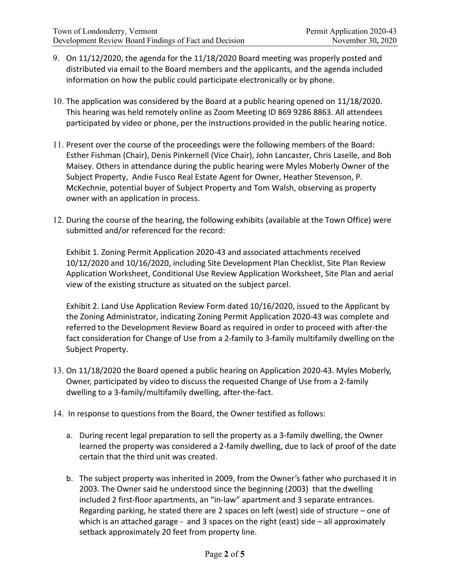- 9. On 11/12/2020, the agenda for the 11/18/2020 Board meeting was properly posted and distributed via email to the Board members and the applicants, and the agenda included information on how the public could participate electronically or by phone.
- 10. The application was considered by the Board at a public hearing opened on 11/18/2020. This hearing was held remotely online as Zoom Meeting ID 869 9286 8863. All attendees participated by video or phone, per the instructions provided in the public hearing notice.
- 11. Present over the course of the proceedings were the following members of the Board: Esther Fishman (Chair), Denis Pinkernell (Vice Chair), John Lancaster, Chris Laselle, and Bob Maisey. Others in attendance during the public hearing were Myles Moberly Owner of the Subject Property, Andie Fusco Real Estate Agent for Owner, Heather Stevenson, P. McKechnie, potential buyer of Subject Property and Tom Walsh, observing as property owner with an application in process.
- 12. During the course of the hearing, the following exhibits (available at the Town Office) were submitted and/or referenced for the record:

Exhibit 1. Zoning Permit Application 2020-43 and associated attachments received 10/12/2020 and 10/16/2020, including Site Development Plan Checklist, Site Plan Review Application Worksheet, Conditional Use Review Application Worksheet, Site Plan and aerial view of the existing structure as situated on the subject parcel.

Exhibit 2. Land Use Application Review Form dated 10/16/2020, issued to the Applicant by the Zoning Administrator, indicating Zoning Permit Application 2020-43 was complete and referred to the Development Review Board as required in order to proceed with after-the fact consideration for Change of Use from a 2-family to 3-family multifamily dwelling on the Subject Property.

- 13. On 11/18/2020 the Board opened a public hearing on Application 2020-43. Myles Moberly, Owner, participated by video to discuss the requested Change of Use from a 2-family dwelling to a 3-family/multifamily dwelling, after-the-fact.
- 14. In response to questions from the Board, the Owner testified as follows:
	- a. During recent legal preparation to sell the property as a 3-family dwelling, the Owner learned the property was considered a 2-family dwelling, due to lack of proof of the date certain that the third unit was created.
	- b. The subject property was inherited in 2009, from the Owner's father who purchased it in 2003. The Owner said he understood since the beginning (2003) that the dwelling included 2 first-floor apartments, an "in-law" apartment and 3 separate entrances. Regarding parking, he stated there are 2 spaces on left (west) side of structure – one of which is an attached garage - and 3 spaces on the right (east) side - all approximately setback approximately 20 feet from property line.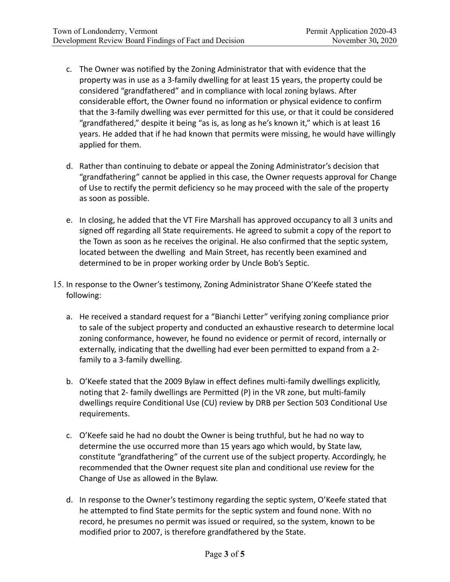- c. The Owner was notified by the Zoning Administrator that with evidence that the property was in use as a 3-family dwelling for at least 15 years, the property could be considered "grandfathered" and in compliance with local zoning bylaws. After considerable effort, the Owner found no information or physical evidence to confirm that the 3-family dwelling was ever permitted for this use, or that it could be considered "grandfathered," despite it being "as is, as long as he's known it," which is at least 16 years. He added that if he had known that permits were missing, he would have willingly applied for them.
- d. Rather than continuing to debate or appeal the Zoning Administrator's decision that "grandfathering" cannot be applied in this case, the Owner requests approval for Change of Use to rectify the permit deficiency so he may proceed with the sale of the property as soon as possible.
- e. In closing, he added that the VT Fire Marshall has approved occupancy to all 3 units and signed off regarding all State requirements. He agreed to submit a copy of the report to the Town as soon as he receives the original. He also confirmed that the septic system, located between the dwelling and Main Street, has recently been examined and determined to be in proper working order by Uncle Bob's Septic.
- 15. In response to the Owner's testimony, Zoning Administrator Shane O'Keefe stated the following:
	- a. He received a standard request for a "Bianchi Letter" verifying zoning compliance prior to sale of the subject property and conducted an exhaustive research to determine local zoning conformance, however, he found no evidence or permit of record, internally or externally, indicating that the dwelling had ever been permitted to expand from a 2 family to a 3-family dwelling.
	- b. O'Keefe stated that the 2009 Bylaw in effect defines multi-family dwellings explicitly, noting that 2- family dwellings are Permitted (P) in the VR zone, but multi-family dwellings require Conditional Use (CU) review by DRB per Section 503 Conditional Use requirements.
	- c. O'Keefe said he had no doubt the Owner is being truthful, but he had no way to determine the use occurred more than 15 years ago which would, by State law, constitute "grandfathering" of the current use of the subject property. Accordingly, he recommended that the Owner request site plan and conditional use review for the Change of Use as allowed in the Bylaw.
	- d. In response to the Owner's testimony regarding the septic system, O'Keefe stated that he attempted to find State permits for the septic system and found none. With no record, he presumes no permit was issued or required, so the system, known to be modified prior to 2007, is therefore grandfathered by the State.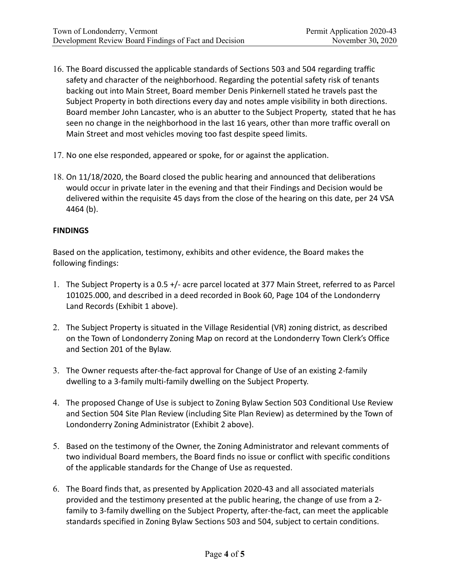- 16. The Board discussed the applicable standards of Sections 503 and 504 regarding traffic safety and character of the neighborhood. Regarding the potential safety risk of tenants backing out into Main Street, Board member Denis Pinkernell stated he travels past the Subject Property in both directions every day and notes ample visibility in both directions. Board member John Lancaster, who is an abutter to the Subject Property, stated that he has seen no change in the neighborhood in the last 16 years, other than more traffic overall on Main Street and most vehicles moving too fast despite speed limits.
- 17. No one else responded, appeared or spoke, for or against the application.
- 18. On 11/18/2020, the Board closed the public hearing and announced that deliberations would occur in private later in the evening and that their Findings and Decision would be delivered within the requisite 45 days from the close of the hearing on this date, per 24 VSA 4464 (b).

### **FINDINGS**

Based on the application, testimony, exhibits and other evidence, the Board makes the following findings:

- 1. The Subject Property is a 0.5 +/- acre parcel located at 377 Main Street, referred to as Parcel 101025.000, and described in a deed recorded in Book 60, Page 104 of the Londonderry Land Records (Exhibit 1 above).
- 2. The Subject Property is situated in the Village Residential (VR) zoning district, as described on the Town of Londonderry Zoning Map on record at the Londonderry Town Clerk's Office and Section 201 of the Bylaw.
- 3. The Owner requests after-the-fact approval for Change of Use of an existing 2-family dwelling to a 3-family multi-family dwelling on the Subject Property.
- 4. The proposed Change of Use is subject to Zoning Bylaw Section 503 Conditional Use Review and Section 504 Site Plan Review (including Site Plan Review) as determined by the Town of Londonderry Zoning Administrator (Exhibit 2 above).
- 5. Based on the testimony of the Owner, the Zoning Administrator and relevant comments of two individual Board members, the Board finds no issue or conflict with specific conditions of the applicable standards for the Change of Use as requested.
- 6. The Board finds that, as presented by Application 2020-43 and all associated materials provided and the testimony presented at the public hearing, the change of use from a 2 family to 3-family dwelling on the Subject Property, after-the-fact, can meet the applicable standards specified in Zoning Bylaw Sections 503 and 504, subject to certain conditions.